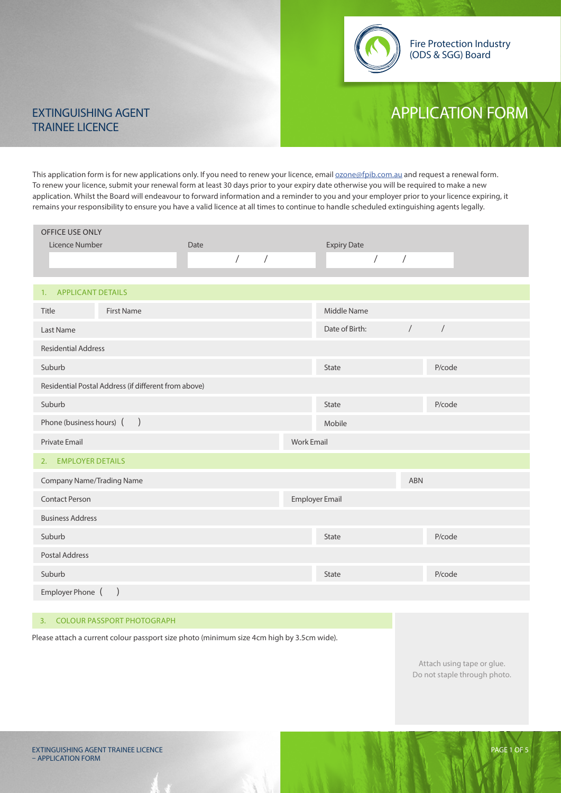

## EXTINGUISHING AGENT APPLICATION FORM

# TRAINEE LICENCE

This application form is for new applications only. If you need to renew your licence, email **ozone@fpib.com.au** and request a renewal form. To renew your licence, submit your renewal form at least 30 days prior to your expiry date otherwise you will be required to make a new application. Whilst the Board will endeavour to forward information and a reminder to you and your employer prior to your licence expiring, it remains your responsibility to ensure you have a valid licence at all times to continue to handle scheduled extinguishing agents legally.

| OFFICE USE ONLY                                      |                          |                       |                          |            |
|------------------------------------------------------|--------------------------|-----------------------|--------------------------|------------|
| Licence Number                                       | Date                     | <b>Expiry Date</b>    |                          |            |
|                                                      | $\sqrt{ }$<br>$\sqrt{2}$ |                       | $\sqrt{2}$<br>$\sqrt{2}$ |            |
|                                                      |                          |                       |                          |            |
| <b>APPLICANT DETAILS</b><br>1.                       |                          |                       |                          |            |
| <b>First Name</b><br>Title                           |                          | Middle Name           |                          |            |
| Last Name                                            |                          | Date of Birth:        | $\sqrt{2}$               | $\sqrt{2}$ |
| <b>Residential Address</b>                           |                          |                       |                          |            |
| Suburb                                               |                          | <b>State</b>          |                          | P/code     |
| Residential Postal Address (if different from above) |                          |                       |                          |            |
| Suburb                                               |                          | <b>State</b>          |                          | P/code     |
| Phone (business hours) ()                            |                          | Mobile                |                          |            |
| Private Email                                        |                          | <b>Work Email</b>     |                          |            |
| 2. EMPLOYER DETAILS                                  |                          |                       |                          |            |
| <b>Company Name/Trading Name</b>                     |                          |                       | <b>ABN</b>               |            |
| <b>Contact Person</b>                                |                          | <b>Employer Email</b> |                          |            |
| <b>Business Address</b>                              |                          |                       |                          |            |
| Suburb                                               |                          | <b>State</b>          |                          | P/code     |
| <b>Postal Address</b>                                |                          |                       |                          |            |
| Suburb                                               |                          | <b>State</b>          |                          | P/code     |
| Employer Phone (<br>$\left( \right)$                 |                          |                       |                          |            |

#### 3. COLOUR PASSPORT PHOTOGRAPH

Please attach a current colour passport size photo (minimum size 4cm high by 3.5cm wide).

Attach using tape or glue. Do not staple through photo.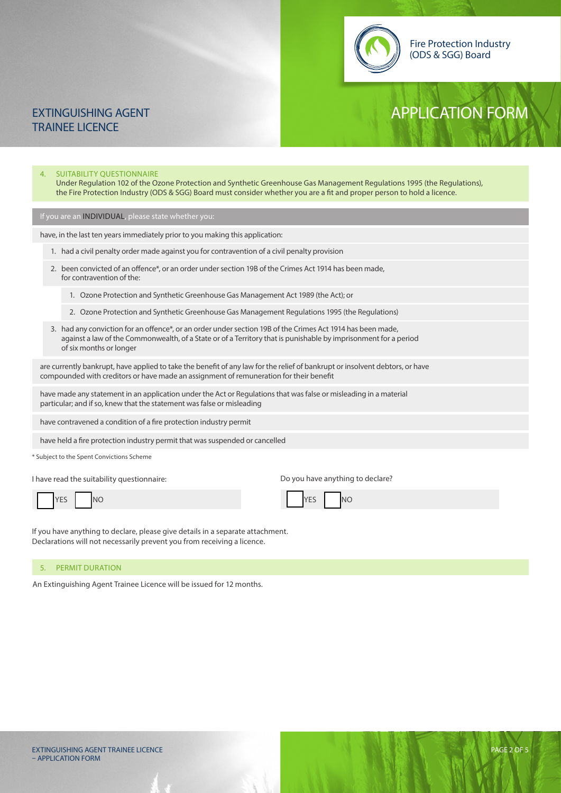

### EXTINGUISHING AGENT APPLICATION FORM TRAINEE LICENCE

### 4. SUITABILITY QUESTIONNAIRE Under Regulation 102 of the Ozone Protection and Synthetic Greenhouse Gas Management Regulations 1995 (the Regulations), the Fire Protection Industry (ODS & SGG) Board must consider whether you are a fit and proper person to hold a licence. If you are an INDIVIDUAL, please state whether you: have contravened a condition of a fire protection industry permit have, in the last ten years immediately prior to you making this application: 1. had a civil penalty order made against you for contravention of a civil penalty provision 1. Ozone Protection and Synthetic Greenhouse Gas Management Act 1989 (the Act); or 2. been convicted of an offence\*, or an order under section 19B of the Crimes Act 1914 has been made, for contravention of the: 3. had any conviction for an offence\*, or an order under section 19B of the Crimes Act 1914 has been made, against a law of the Commonwealth, of a State or of a Territory that is punishable by imprisonment for a period of six months or longer 2. Ozone Protection and Synthetic Greenhouse Gas Management Regulations 1995 (the Regulations) are currently bankrupt, have applied to take the benefit of any law for the relief of bankrupt or insolvent debtors, or have compounded with creditors or have made an assignment of remuneration for their benefit have made any statement in an application under the Act or Regulations that was false or misleading in a material particular; and if so, knew that the statement was false or misleading

have held a fire protection industry permit that was suspended or cancelled

\* Subject to the Spent Convictions Scheme

I have read the suitability questionnaire:

Do you have anything to declare?

 $N<sub>O</sub>$ 

|  | YES  <br><b>Contract Contract Contract Contract</b> |  | <b>NO</b> |  |  |  | <b>YFS</b><br>! ⊢ – – |
|--|-----------------------------------------------------|--|-----------|--|--|--|-----------------------|
|--|-----------------------------------------------------|--|-----------|--|--|--|-----------------------|

If you have anything to declare, please give details in a separate attachment. Declarations will not necessarily prevent you from receiving a licence.

#### 5. PERMIT DURATION

An Extinguishing Agent Trainee Licence will be issued for 12 months.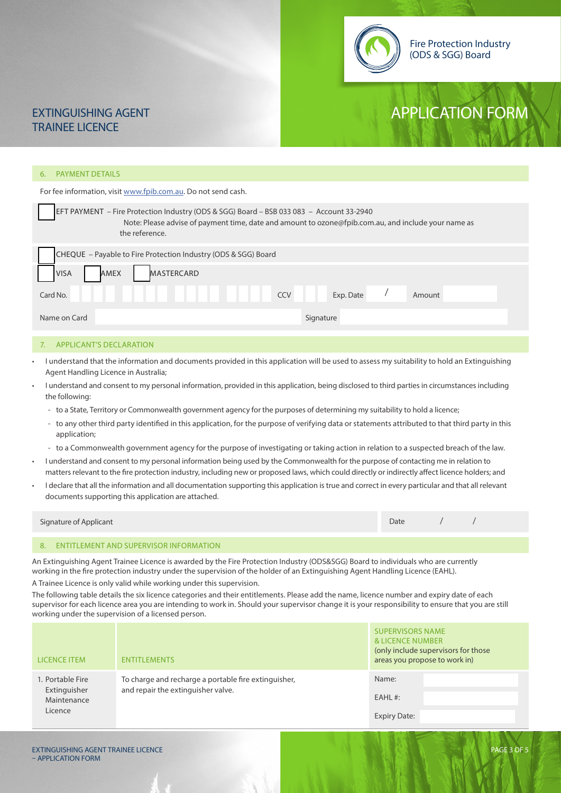

### EXTINGUISHING AGENT APPLICATION FORM TRAINEE LICENCE

#### 6. PAYMENT DETAILS

For fee information, visit www.fpib.com.au. Do not send cash.

| EFT PAYMENT – Fire Protection Industry (ODS & SGG) Board – BSB 033 083 – Account 33-2940<br>Note: Please advise of payment time, date and amount to ozone@fpib.com.au, and include your name as<br>the reference. |  |  |  |
|-------------------------------------------------------------------------------------------------------------------------------------------------------------------------------------------------------------------|--|--|--|
| CHEQUE - Payable to Fire Protection Industry (ODS & SGG) Board                                                                                                                                                    |  |  |  |
| <b>MASTERCARD</b><br><b>VISA</b><br>AMEX                                                                                                                                                                          |  |  |  |
| Card No.<br><b>CCV</b><br>Exp. Date<br>Amount                                                                                                                                                                     |  |  |  |
| Name on Card<br>Signature                                                                                                                                                                                         |  |  |  |
|                                                                                                                                                                                                                   |  |  |  |

#### 7. APPLICANT'S DECLARATION

- I understand that the information and documents provided in this application will be used to assess my suitability to hold an Extinguishing Agent Handling Licence in Australia;
- I understand and consent to my personal information, provided in this application, being disclosed to third parties in circumstances including the following:
	- to a State, Territory or Commonwealth government agency for the purposes of determining my suitability to hold a licence;
	- to any other third party identified in this application, for the purpose of verifying data or statements attributed to that third party in this application;
	- to a Commonwealth government agency for the purpose of investigating or taking action in relation to a suspected breach of the law.
- I understand and consent to my personal information being used by the Commonwealth for the purpose of contacting me in relation to matters relevant to the fire protection industry, including new or proposed laws, which could directly or indirectly affect licence holders; and
- I declare that all the information and all documentation supporting this application is true and correct in every particular and that all relevant documents supporting this application are attached.

| Signature of Applicant | Date |  |
|------------------------|------|--|
|                        |      |  |
|                        |      |  |

#### 8. ENTITLEMENT AND SUPERVISOR INFORMATION

An Extinguishing Agent Trainee Licence is awarded by the Fire Protection Industry (ODS&SGG) Board to individuals who are currently working in the fire protection industry under the supervision of the holder of an Extinguishing Agent Handling Licence (EAHL).

A Trainee Licence is only valid while working under this supervision.

The following table details the six licence categories and their entitlements. Please add the name, licence number and expiry date of each supervisor for each licence area you are intending to work in. Should your supervisor change it is your responsibility to ensure that you are still working under the supervision of a licensed person.

| <b>LICENCE ITEM</b>                                        | <b>ENTITLEMENTS</b>                                                                        | <b>SUPERVISORS NAME</b><br>& LICENCE NUMBER<br>(only include supervisors for those<br>areas you propose to work in) |
|------------------------------------------------------------|--------------------------------------------------------------------------------------------|---------------------------------------------------------------------------------------------------------------------|
| 1. Portable Fire<br>Extinguisher<br>Maintenance<br>Licence | To charge and recharge a portable fire extinguisher,<br>and repair the extinguisher valve. | Name:                                                                                                               |
|                                                            |                                                                                            | $EAHL$ #:                                                                                                           |
|                                                            |                                                                                            | <b>Expiry Date:</b>                                                                                                 |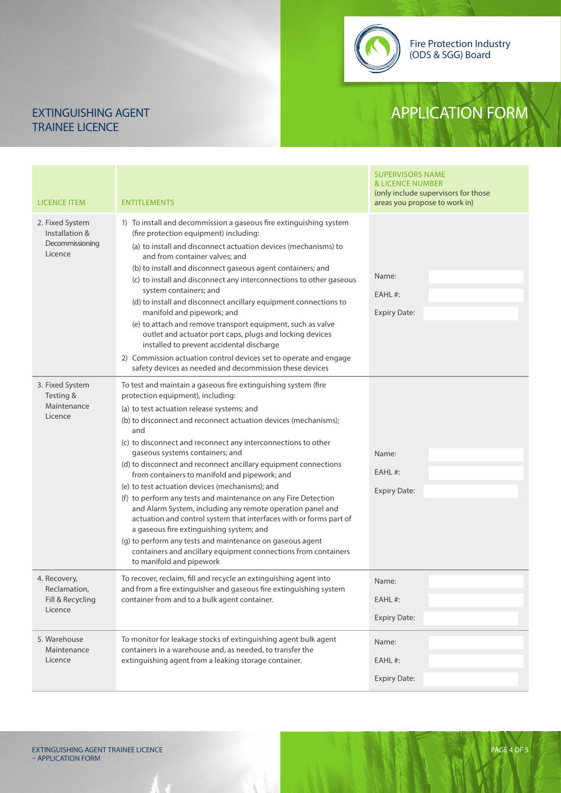Fire Protection Industry (ODS & SGG) Board

## EXTINGUISHING AGENT APPLICATION FORM

# TRAINEE LICENCE

| <b>LICENCE ITEM</b>                                             | <b>ENTITLEMENTS</b>                                                                                                                                                                                                                                                                                                                                                                                                                                                                                                                                                                                                                                                                                                                                                                                                                                                                                                 | <b>SUPERVISORS NAME</b><br><b>&amp; LICENCE NUMBER</b><br>(only include supervisors for those<br>areas you propose to work in) |  |
|-----------------------------------------------------------------|---------------------------------------------------------------------------------------------------------------------------------------------------------------------------------------------------------------------------------------------------------------------------------------------------------------------------------------------------------------------------------------------------------------------------------------------------------------------------------------------------------------------------------------------------------------------------------------------------------------------------------------------------------------------------------------------------------------------------------------------------------------------------------------------------------------------------------------------------------------------------------------------------------------------|--------------------------------------------------------------------------------------------------------------------------------|--|
| 2. Fixed System<br>Installation &<br>Decommissioning<br>Licence | 1) To install and decommission a gaseous fire extinguishing system<br>(fire protection equipment) including:<br>(a) to install and disconnect actuation devices (mechanisms) to<br>and from container valves; and<br>(b) to install and disconnect gaseous agent containers; and<br>(c) to install and disconnect any interconnections to other gaseous<br>system containers; and<br>(d) to install and disconnect ancillary equipment connections to<br>manifold and pipework; and<br>(e) to attach and remove transport equipment, such as valve<br>outlet and actuator port caps, plugs and locking devices<br>installed to prevent accidental discharge<br>2) Commission actuation control devices set to operate and engage<br>safety devices as needed and decommission these devices                                                                                                                         | Name:<br>EAHL#:<br><b>Expiry Date:</b>                                                                                         |  |
| 3. Fixed System<br>Testing &<br>Maintenance<br>Licence          | To test and maintain a gaseous fire extinguishing system (fire<br>protection equipment), including:<br>(a) to test actuation release systems; and<br>(b) to disconnect and reconnect actuation devices (mechanisms);<br>and<br>(c) to disconnect and reconnect any interconnections to other<br>gaseous systems containers; and<br>(d) to disconnect and reconnect ancillary equipment connections<br>from containers to manifold and pipework; and<br>(e) to test actuation devices (mechanisms); and<br>(f) to perform any tests and maintenance on any Fire Detection<br>and Alarm System, including any remote operation panel and<br>actuation and control system that interfaces with or forms part of<br>a gaseous fire extinguishing system; and<br>(g) to perform any tests and maintenance on gaseous agent<br>containers and ancillary equipment connections from containers<br>to manifold and pipework | Name:<br>EAHL#:<br><b>Expiry Date:</b>                                                                                         |  |
| 4. Recovery,<br>Reclamation,<br>Fill & Recycling<br>Licence     | To recover, reclaim, fill and recycle an extinguishing agent into<br>and from a fire extinguisher and gaseous fire extinguishing system<br>container from and to a bulk agent container.                                                                                                                                                                                                                                                                                                                                                                                                                                                                                                                                                                                                                                                                                                                            | Name:<br>EAHL#:<br><b>Expiry Date:</b>                                                                                         |  |
| 5. Warehouse<br>Maintenance<br>Licence                          | To monitor for leakage stocks of extinguishing agent bulk agent<br>containers in a warehouse and, as needed, to transfer the<br>extinguishing agent from a leaking storage container.                                                                                                                                                                                                                                                                                                                                                                                                                                                                                                                                                                                                                                                                                                                               | Name:<br>EAHL#:<br><b>Expiry Date:</b>                                                                                         |  |